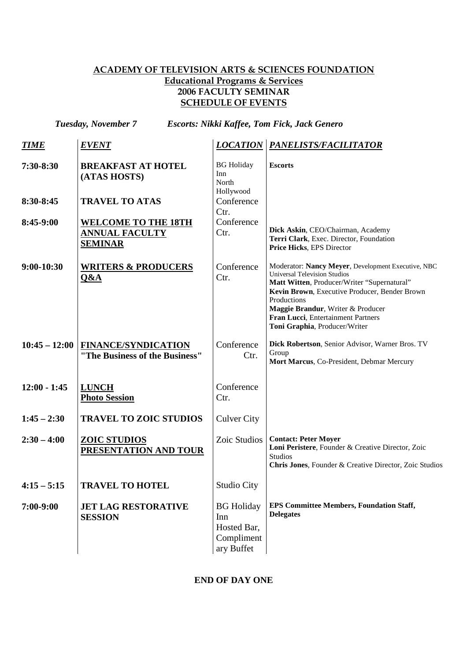## ACADEMY OF TELEVISION ARTS & SCIENCES FOUNDATION Educational Programs & Services 2006 FACULTY SEMINAR SCHEDULE OF EVENTS

*Tuesday, November 7 Escorts: Nikki Kaffee, Tom Fick, Jack Genero*

| <b>TIME</b>     | <i>EVENT</i>                                                          | <b>LOCATION</b>                                                     | PANELISTS/FACILITATOR                                                                                                                                                                                                                                                                                                |
|-----------------|-----------------------------------------------------------------------|---------------------------------------------------------------------|----------------------------------------------------------------------------------------------------------------------------------------------------------------------------------------------------------------------------------------------------------------------------------------------------------------------|
| $7:30-8:30$     | <b>BREAKFAST AT HOTEL</b><br>(ATAS HOSTS)                             | <b>BG</b> Holiday<br>Inn<br>North<br>Hollywood                      | <b>Escorts</b>                                                                                                                                                                                                                                                                                                       |
| 8:30-8:45       | <b>TRAVEL TO ATAS</b>                                                 | Conference<br>Ctr.                                                  |                                                                                                                                                                                                                                                                                                                      |
| $8:45-9:00$     | <b>WELCOME TO THE 18TH</b><br><b>ANNUAL FACULTY</b><br><b>SEMINAR</b> | Conference<br>Ctr.                                                  | Dick Askin, CEO/Chairman, Academy<br>Terri Clark, Exec. Director, Foundation<br>Price Hicks, EPS Director                                                                                                                                                                                                            |
| $9:00-10:30$    | <b>WRITERS &amp; PRODUCERS</b><br>Q&A                                 | Conference<br>Ctr.                                                  | Moderator: Nancy Meyer, Development Executive, NBC<br><b>Universal Television Studios</b><br>Matt Witten, Producer/Writer "Supernatural"<br>Kevin Brown, Executive Producer, Bender Brown<br>Productions<br>Maggie Brandur, Writer & Producer<br>Fran Lucci, Entertainment Partners<br>Toni Graphia, Producer/Writer |
| $10:45 - 12:00$ | <b>FINANCE/SYNDICATION</b><br>"The Business of the Business"          | Conference<br>Ctr.                                                  | Dick Robertson, Senior Advisor, Warner Bros. TV<br>Group<br>Mort Marcus, Co-President, Debmar Mercury                                                                                                                                                                                                                |
| $12:00 - 1:45$  | <b>LUNCH</b><br><b>Photo Session</b>                                  | Conference<br>Ctr.                                                  |                                                                                                                                                                                                                                                                                                                      |
| $1:45 - 2:30$   | <b>TRAVEL TO ZOIC STUDIOS</b>                                         | <b>Culver City</b>                                                  |                                                                                                                                                                                                                                                                                                                      |
| $2:30 - 4:00$   | <b>ZOIC STUDIOS</b><br>PRESENTATION AND TOUR                          | Zoic Studios                                                        | <b>Contact: Peter Moyer</b><br>Loni Peristere, Founder & Creative Director, Zoic<br><b>Studios</b><br>Chris Jones, Founder & Creative Director, Zoic Studios                                                                                                                                                         |
| $4:15 - 5:15$   | <b>TRAVEL TO HOTEL</b>                                                | Studio City                                                         |                                                                                                                                                                                                                                                                                                                      |
| $7:00-9:00$     | <b>JET LAG RESTORATIVE</b><br><b>SESSION</b>                          | <b>BG</b> Holiday<br>Inn<br>Hosted Bar,<br>Compliment<br>ary Buffet | <b>EPS Committee Members, Foundation Staff,</b><br><b>Delegates</b>                                                                                                                                                                                                                                                  |

**END OF DAY ONE**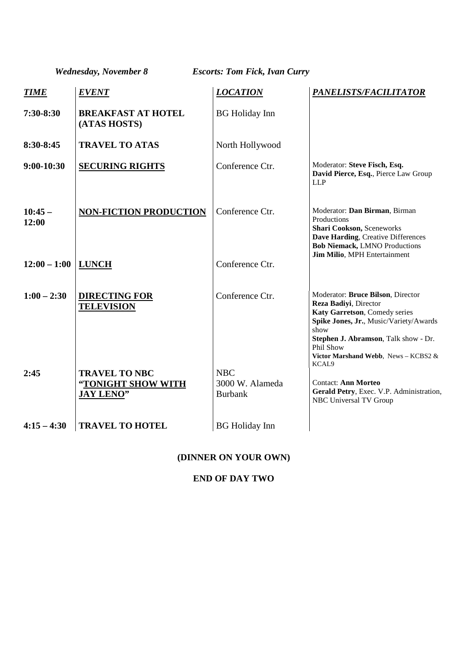*Wednesday, November 8 Escorts: Tom Fick, Ivan Curry*

| <b>TIME</b>          | <b>EVENT</b>                                                   | <b>LOCATION</b>                                 | PANELISTS/FACILITATOR                                                                                                                                                                              |
|----------------------|----------------------------------------------------------------|-------------------------------------------------|----------------------------------------------------------------------------------------------------------------------------------------------------------------------------------------------------|
| $7:30-8:30$          | <b>BREAKFAST AT HOTEL</b><br>(ATAS HOSTS)                      | <b>BG</b> Holiday Inn                           |                                                                                                                                                                                                    |
| $8:30-8:45$          | <b>TRAVEL TO ATAS</b>                                          | North Hollywood                                 |                                                                                                                                                                                                    |
| $9:00-10:30$         | <b>SECURING RIGHTS</b>                                         | Conference Ctr.                                 | Moderator: Steve Fisch, Esq.<br>David Pierce, Esq., Pierce Law Group<br><b>LLP</b>                                                                                                                 |
| $10:45-$<br>12:00    | <b>NON-FICTION PRODUCTION</b>                                  | Conference Ctr.                                 | Moderator: Dan Birman, Birman<br>Productions<br>Shari Cookson, Sceneworks<br>Dave Harding, Creative Differences<br><b>Bob Niemack, LMNO Productions</b><br>Jim Milio, MPH Entertainment            |
| $12:00 - 1:00$ LUNCH |                                                                | Conference Ctr.                                 |                                                                                                                                                                                                    |
| $1:00 - 2:30$        | <b>DIRECTING FOR</b><br><b>TELEVISION</b>                      | Conference Ctr.                                 | Moderator: Bruce Bilson, Director<br>Reza Badiyi, Director<br>Katy Garretson, Comedy series<br>Spike Jones, Jr., Music/Variety/Awards<br>show<br>Stephen J. Abramson, Talk show - Dr.<br>Phil Show |
| 2:45                 | <b>TRAVEL TO NBC</b><br>"TONIGHT SHOW WITH<br><b>JAY LENO"</b> | <b>NBC</b><br>3000 W. Alameda<br><b>Burbank</b> | Victor Marshand Webb, News - KCBS2 &<br>KCAL <sub>9</sub><br><b>Contact: Ann Morteo</b><br>Gerald Petry, Exec. V.P. Administration,<br>NBC Universal TV Group                                      |
| $4:15 - 4:30$        | <b>TRAVEL TO HOTEL</b>                                         | <b>BG</b> Holiday Inn                           |                                                                                                                                                                                                    |

# **(DINNER ON YOUR OWN)**

#### **END OF DAY TWO**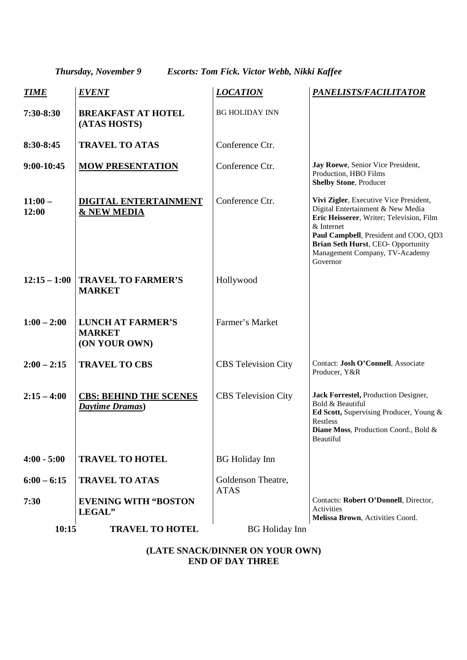*Thursday, November 9 Escorts: Tom Fick. Victor Webb, Nikki Kaffee* 

| <b>TIME</b>           | <b>EVENT</b>                                               | <b>LOCATION</b>                   | PANELISTS/FACILITATOR                                                                                                                                                                                                                                              |
|-----------------------|------------------------------------------------------------|-----------------------------------|--------------------------------------------------------------------------------------------------------------------------------------------------------------------------------------------------------------------------------------------------------------------|
| 7:30-8:30             | <b>BREAKFAST AT HOTEL</b><br>(ATAS HOSTS)                  | <b>BG HOLIDAY INN</b>             |                                                                                                                                                                                                                                                                    |
| 8:30-8:45             | <b>TRAVEL TO ATAS</b>                                      | Conference Ctr.                   |                                                                                                                                                                                                                                                                    |
| 9:00-10:45            | <b>MOW PRESENTATION</b>                                    | Conference Ctr.                   | Jay Roewe, Senior Vice President,<br>Production, HBO Films<br><b>Shelby Stone, Producer</b>                                                                                                                                                                        |
| $11:00-$<br>12:00     | DIGITAL ENTERTAINMENT<br><b>&amp; NEW MEDIA</b>            | Conference Ctr.                   | Vivi Zigler, Executive Vice President,<br>Digital Entertainment & New Media<br>Eric Heisserer, Writer; Television, Film<br>& Internet<br>Paul Campbell, President and COO, QD3<br>Brian Seth Hurst, CEO- Opportunity<br>Management Company, TV-Academy<br>Governor |
| $12:15 - 1:00$        | <b>TRAVEL TO FARMER'S</b><br><b>MARKET</b>                 | Hollywood                         |                                                                                                                                                                                                                                                                    |
| $1:00 - 2:00$         | <b>LUNCH AT FARMER'S</b><br><b>MARKET</b><br>(ON YOUR OWN) | Farmer's Market                   |                                                                                                                                                                                                                                                                    |
| $2:00 - 2:15$         | <b>TRAVEL TO CBS</b>                                       | <b>CBS</b> Television City        | Contact: Josh O'Connell, Associate<br>Producer, Y&R                                                                                                                                                                                                                |
| $2:15 - 4:00$         | <b>CBS: BEHIND THE SCENES</b><br>Daytime Dramas)           | <b>CBS</b> Television City        | Jack Forrestel, Production Designer,<br>Bold & Beautiful<br>Ed Scott, Supervising Producer, Young &<br>Restless<br>Diane Moss, Production Coord., Bold &<br>Beautiful                                                                                              |
| $4:00 - 5:00$         | <b>TRAVEL TO HOTEL</b>                                     | <b>BG</b> Holiday Inn             |                                                                                                                                                                                                                                                                    |
| $6:00 - 6:15$<br>7:30 | <b>TRAVEL TO ATAS</b><br><b>EVENING WITH "BOSTON</b>       | Goldenson Theatre,<br><b>ATAS</b> | Contacts: Robert O'Donnell, Director,<br>Activities                                                                                                                                                                                                                |
| 10:15                 | LEGAL"<br><b>TRAVEL TO HOTEL</b>                           | <b>BG</b> Holiday Inn             | Melissa Brown, Activities Coord.                                                                                                                                                                                                                                   |
|                       |                                                            |                                   |                                                                                                                                                                                                                                                                    |

## **(LATE SNACK/DINNER ON YOUR OWN) END OF DAY THREE**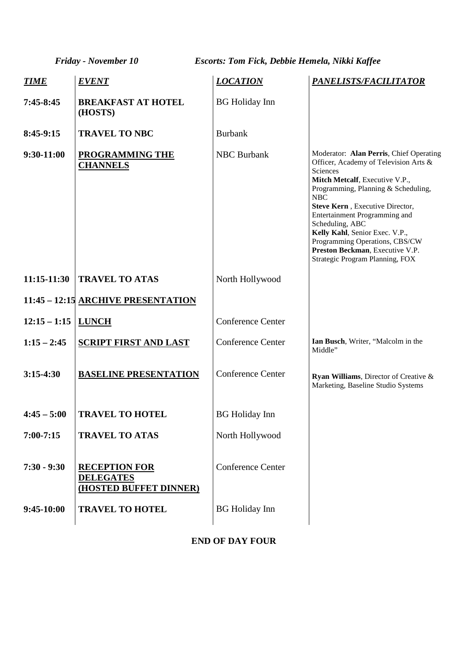*Friday - November 10 Escorts: Tom Fick, Debbie Hemela, Nikki Kaffee*

| <b>TIME</b>    | <b>EVENT</b>                                                       | <b>LOCATION</b>          | PANELISTS/FACILITATOR                                                                                                                                                                                                                                                                                                                                                                                         |
|----------------|--------------------------------------------------------------------|--------------------------|---------------------------------------------------------------------------------------------------------------------------------------------------------------------------------------------------------------------------------------------------------------------------------------------------------------------------------------------------------------------------------------------------------------|
| $7:45-8:45$    | <b>BREAKFAST AT HOTEL</b><br>(HOSTS)                               | <b>BG</b> Holiday Inn    |                                                                                                                                                                                                                                                                                                                                                                                                               |
| $8:45-9:15$    | <b>TRAVEL TO NBC</b>                                               | <b>Burbank</b>           |                                                                                                                                                                                                                                                                                                                                                                                                               |
| 9:30-11:00     | PROGRAMMING THE<br><b>CHANNELS</b>                                 | <b>NBC</b> Burbank       | Moderator: Alan Perris, Chief Operating<br>Officer, Academy of Television Arts &<br>Sciences<br>Mitch Metcalf, Executive V.P.,<br>Programming, Planning & Scheduling,<br>NBC<br>Steve Kern, Executive Director,<br>Entertainment Programming and<br>Scheduling, ABC<br>Kelly Kahl, Senior Exec. V.P.,<br>Programming Operations, CBS/CW<br>Preston Beckman, Executive V.P.<br>Strategic Program Planning, FOX |
| $11:15-11:30$  | <b>TRAVEL TO ATAS</b>                                              | North Hollywood          |                                                                                                                                                                                                                                                                                                                                                                                                               |
|                | 11:45 - 12:15 ARCHIVE PRESENTATION                                 |                          |                                                                                                                                                                                                                                                                                                                                                                                                               |
| $12:15 - 1:15$ | <b>LUNCH</b>                                                       | <b>Conference Center</b> |                                                                                                                                                                                                                                                                                                                                                                                                               |
| $1:15 - 2:45$  | <b>SCRIPT FIRST AND LAST</b>                                       | <b>Conference Center</b> | Ian Busch, Writer, "Malcolm in the<br>Middle"                                                                                                                                                                                                                                                                                                                                                                 |
| $3:15-4:30$    | <b>BASELINE PRESENTATION</b>                                       | <b>Conference Center</b> | Ryan Williams, Director of Creative &<br>Marketing, Baseline Studio Systems                                                                                                                                                                                                                                                                                                                                   |
| $4:45 - 5:00$  | <b>TRAVEL TO HOTEL</b>                                             | <b>BG</b> Holiday Inn    |                                                                                                                                                                                                                                                                                                                                                                                                               |
| $7:00 - 7:15$  | <b>TRAVEL TO ATAS</b>                                              | North Hollywood          |                                                                                                                                                                                                                                                                                                                                                                                                               |
| $7:30 - 9:30$  | <b>RECEPTION FOR</b><br><b>DELEGATES</b><br>(HOSTED BUFFET DINNER) | <b>Conference Center</b> |                                                                                                                                                                                                                                                                                                                                                                                                               |
| $9:45-10:00$   | <b>TRAVEL TO HOTEL</b>                                             | <b>BG</b> Holiday Inn    |                                                                                                                                                                                                                                                                                                                                                                                                               |

# **END OF DAY FOUR**